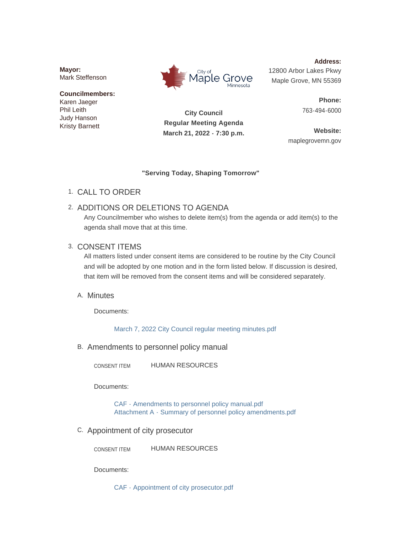**Mayor:** Mark Steffenson

**Councilmembers:** Karen Jaeger Phil Leith Judy Hanson Kristy Barnett



**Address:** 12800 Arbor Lakes Pkwy Maple Grove, MN 55369

> **Phone:** 763-494-6000

**City Council Regular Meeting Agenda March 21, 2022 - 7:30 p.m.**

**Website:** maplegrovemn.gov

### **"Serving Today, Shaping Tomorrow"**

CALL TO ORDER 1.

# 2. ADDITIONS OR DELETIONS TO AGENDA

Any Councilmember who wishes to delete item(s) from the agenda or add item(s) to the agenda shall move that at this time.

## 3. CONSENT ITEMS

All matters listed under consent items are considered to be routine by the City Council and will be adopted by one motion and in the form listed below. If discussion is desired, that item will be removed from the consent items and will be considered separately.

## A. Minutes

Documents:

[March 7, 2022 City Council regular meeting minutes.pdf](https://www.maplegrovemn.gov/AgendaCenter/ViewFile/Item/1519?fileID=5594)

B. Amendments to personnel policy manual

HUMAN RESOURCES CONSENT ITEM

Documents:

[CAF - Amendments to personnel policy manual.pdf](https://www.maplegrovemn.gov/AgendaCenter/ViewFile/Item/1530?fileID=5697) [Attachment A - Summary of personnel policy amendments.pdf](https://www.maplegrovemn.gov/AgendaCenter/ViewFile/Item/1530?fileID=5702)

C. Appointment of city prosecutor

HUMAN RESOURCES CONSENT ITEM

Documents:

[CAF - Appointment of city prosecutor.pdf](https://www.maplegrovemn.gov/AgendaCenter/ViewFile/Item/1536?fileID=5708)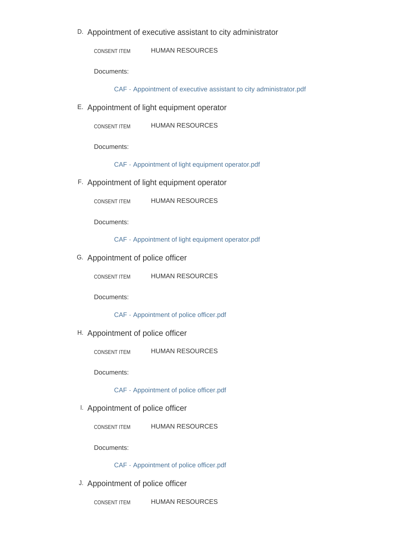D. Appointment of executive assistant to city administrator

HUMAN RESOURCES CONSENT ITEM

Documents:

[CAF - Appointment of executive assistant to city administrator.pdf](https://www.maplegrovemn.gov/AgendaCenter/ViewFile/Item/1494?fileID=5677)

Appointment of light equipment operator E.

Documents:

[CAF - Appointment of light equipment operator.pdf](https://www.maplegrovemn.gov/AgendaCenter/ViewFile/Item/1377?fileID=5679)

Appointment of light equipment operator F.

HUMAN RESOURCES CONSENT ITEM

Documents:

[CAF - Appointment of light equipment operator.pdf](https://www.maplegrovemn.gov/AgendaCenter/ViewFile/Item/1488?fileID=5683)

G. Appointment of police officer

HUMAN RESOURCES CONSENT ITEM

Documents:

[CAF - Appointment of police officer.pdf](https://www.maplegrovemn.gov/AgendaCenter/ViewFile/Item/1512?fileID=5684)

H. Appointment of police officer

HUMAN RESOURCES CONSENT ITEM

Documents:

[CAF - Appointment of police officer.pdf](https://www.maplegrovemn.gov/AgendaCenter/ViewFile/Item/1513?fileID=5685)

Appointment of police officer I.

HUMAN RESOURCES CONSENT ITEM

Documents:

### [CAF - Appointment of police officer.pdf](https://www.maplegrovemn.gov/AgendaCenter/ViewFile/Item/1514?fileID=5686)

J. Appointment of police officer

HUMAN RESOURCES CONSENT ITEM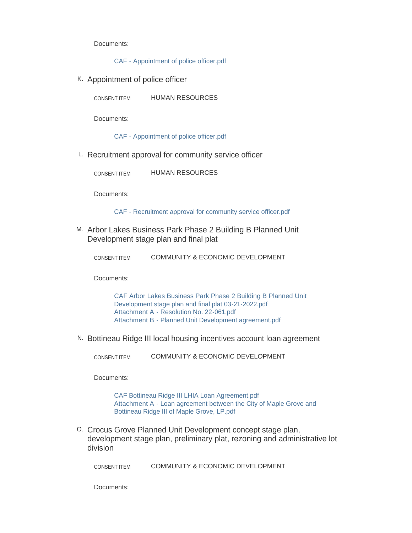Documents:

[CAF - Appointment of police officer.pdf](https://www.maplegrovemn.gov/AgendaCenter/ViewFile/Item/1515?fileID=5692)

K. Appointment of police officer

HUMAN RESOURCES CONSENT ITEM

Documents:

[CAF - Appointment of police officer.pdf](https://www.maplegrovemn.gov/AgendaCenter/ViewFile/Item/1516?fileID=5688)

L. Recruitment approval for community service officer

HUMAN RESOURCES CONSENT ITEM

Documents:

[CAF - Recruitment approval for community service officer.pdf](https://www.maplegrovemn.gov/AgendaCenter/ViewFile/Item/1529?fileID=5690)

M. Arbor Lakes Business Park Phase 2 Building B Planned Unit Development stage plan and final plat

| COMMUNITY & ECONOMIC DEVELOPMENT<br>CONSENT ITEM |
|--------------------------------------------------|
|--------------------------------------------------|

Documents:

[CAF Arbor Lakes Business Park Phase 2 Building B Planned Unit](https://www.maplegrovemn.gov/AgendaCenter/ViewFile/Item/1479?fileID=5601)  Development stage plan and final plat 03-21-2022.pdf [Attachment A - Resolution No. 22-061.pdf](https://www.maplegrovemn.gov/AgendaCenter/ViewFile/Item/1479?fileID=5602) [Attachment B - Planned Unit Development agreement.pdf](https://www.maplegrovemn.gov/AgendaCenter/ViewFile/Item/1479?fileID=5603)

N. Bottineau Ridge III local housing incentives account loan agreement

COMMUNITY & ECONOMIC DEVELOPMENT CONSENT ITEM

Documents:

[CAF Bottineau Ridge III LHIA Loan Agreement.pdf](https://www.maplegrovemn.gov/AgendaCenter/ViewFile/Item/1493?fileID=5567) [Attachment A - Loan agreement between the City of Maple Grove and](https://www.maplegrovemn.gov/AgendaCenter/ViewFile/Item/1493?fileID=5566)  Bottineau Ridge III of Maple Grove, LP.pdf

0. Crocus Grove Planned Unit Development concept stage plan, development stage plan, preliminary plat, rezoning and administrative lot division

COMMUNITY & ECONOMIC DEVELOPMENT CONSENT ITEM

Documents: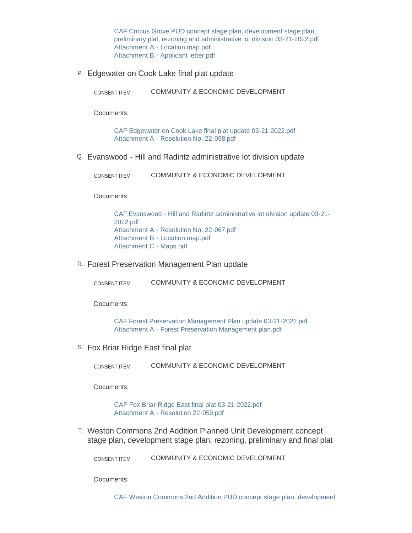CAF Crocus Grove PUD concept stage plan, development stage plan, [preliminary plat, rezoning and administrative lot division 03-21-2022.pdf](https://www.maplegrovemn.gov/AgendaCenter/ViewFile/Item/1481?fileID=5608) [Attachment A - Location map.pdf](https://www.maplegrovemn.gov/AgendaCenter/ViewFile/Item/1481?fileID=5606) [Attachment B - Applicant letter.pdf](https://www.maplegrovemn.gov/AgendaCenter/ViewFile/Item/1481?fileID=5607)

P. Edgewater on Cook Lake final plat update

COMMUNITY & ECONOMIC DEVELOPMENT CONSENT ITEM

Documents:

[CAF Edgewater on Cook Lake final plat update 03-21-2022.pdf](https://www.maplegrovemn.gov/AgendaCenter/ViewFile/Item/1476?fileID=5568) [Attachment A - Resolution No. 22-058.pdf](https://www.maplegrovemn.gov/AgendaCenter/ViewFile/Item/1476?fileID=5569)

Evanswood - Hill and Radintz administrative lot division update Q.

COMMUNITY & ECONOMIC DEVELOPMENT CONSENT ITEM

Documents:

[CAF Evanswood - Hill and Radintz administrative lot division update 03-21-](https://www.maplegrovemn.gov/AgendaCenter/ViewFile/Item/1478?fileID=5570) 2022.pdf [Attachment A - Resolution No. 22-067.pdf](https://www.maplegrovemn.gov/AgendaCenter/ViewFile/Item/1478?fileID=5571) [Attachment B - Location map.pdf](https://www.maplegrovemn.gov/AgendaCenter/ViewFile/Item/1478?fileID=5572) [Attachment C - Maps.pdf](https://www.maplegrovemn.gov/AgendaCenter/ViewFile/Item/1478?fileID=5573)

R. Forest Preservation Management Plan update

COMMUNITY & ECONOMIC DEVELOPMENT CONSENT ITEM

Documents:

[CAF Forest Preservation Management Plan update 03-21-2022.pdf](https://www.maplegrovemn.gov/AgendaCenter/ViewFile/Item/1482?fileID=5576) [Attachment A - Forest Preservation Management plan.pdf](https://www.maplegrovemn.gov/AgendaCenter/ViewFile/Item/1482?fileID=5577)

S. Fox Briar Ridge East final plat

COMMUNITY & ECONOMIC DEVELOPMENT CONSENT ITEM

Documents:

[CAF Fox Briar Ridge East final plat 03-21-2022.pdf](https://www.maplegrovemn.gov/AgendaCenter/ViewFile/Item/1477?fileID=5605) [Attachment A - Resolution 22-059.pdf](https://www.maplegrovemn.gov/AgendaCenter/ViewFile/Item/1477?fileID=5604)

Weston Commons 2nd Addition Planned Unit Development concept T. stage plan, development stage plan, rezoning, preliminary and final plat

COMMUNITY & ECONOMIC DEVELOPMENT CONSENT ITEM

Documents:

[CAF Weston Commons 2nd Addition PUD concept stage plan, development](https://www.maplegrovemn.gov/AgendaCenter/ViewFile/Item/1483?fileID=5682)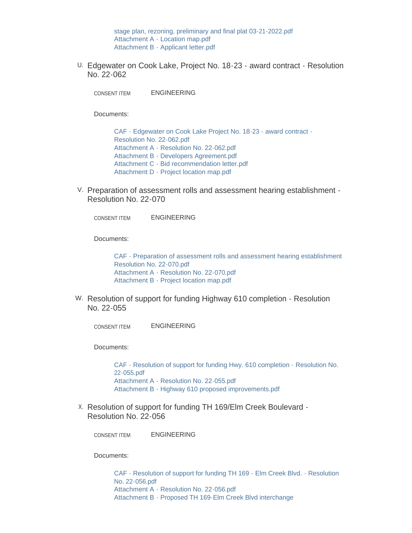stage plan, rezoning, preliminary and final plat 03-21-2022.pdf [Attachment A - Location map.pdf](https://www.maplegrovemn.gov/AgendaCenter/ViewFile/Item/1483?fileID=5681) [Attachment B - Applicant letter.pdf](https://www.maplegrovemn.gov/AgendaCenter/ViewFile/Item/1483?fileID=5680)

Edgewater on Cook Lake, Project No. 18-23 - award contract - Resolution U. No. 22-062

ENGINEERING CONSENT ITEM

Documents:

[CAF - Edgewater on Cook Lake Project No. 18-23 - award contract -](https://www.maplegrovemn.gov/AgendaCenter/ViewFile/Item/1522?fileID=5653) Resolution No. 22-062.pdf [Attachment A - Resolution No. 22-062.pdf](https://www.maplegrovemn.gov/AgendaCenter/ViewFile/Item/1522?fileID=5656) [Attachment B - Developers Agreement.pdf](https://www.maplegrovemn.gov/AgendaCenter/ViewFile/Item/1522?fileID=5657) [Attachment C - Bid recommendation letter.pdf](https://www.maplegrovemn.gov/AgendaCenter/ViewFile/Item/1522?fileID=5654) [Attachment D - Project location map.pdf](https://www.maplegrovemn.gov/AgendaCenter/ViewFile/Item/1522?fileID=5655)

V. Preparation of assessment rolls and assessment hearing establishment -Resolution No. 22-070

ENGINEERING CONSENT ITEM

Documents:

[CAF - Preparation of assessment rolls and assessment hearing establishment](https://www.maplegrovemn.gov/AgendaCenter/ViewFile/Item/1528?fileID=5672)  Resolution No. 22-070.pdf [Attachment A - Resolution No. 22-070.pdf](https://www.maplegrovemn.gov/AgendaCenter/ViewFile/Item/1528?fileID=5673) [Attachment B - Project location map.pdf](https://www.maplegrovemn.gov/AgendaCenter/ViewFile/Item/1528?fileID=5674)

W. Resolution of support for funding Highway 610 completion - Resolution No. 22-055

ENGINEERING CONSENT ITEM

Documents:

[CAF - Resolution of support for funding Hwy. 610 completion - Resolution No.](https://www.maplegrovemn.gov/AgendaCenter/ViewFile/Item/1523?fileID=5658)  22-055.pdf [Attachment A - Resolution No. 22-055.pdf](https://www.maplegrovemn.gov/AgendaCenter/ViewFile/Item/1523?fileID=5659) [Attachment B - Highway 610 proposed improvements.pdf](https://www.maplegrovemn.gov/AgendaCenter/ViewFile/Item/1523?fileID=5660)

X. Resolution of support for funding TH 169/Elm Creek Boulevard -Resolution No. 22-056

ENGINEERING CONSENT ITEM

Documents:

[CAF - Resolution of support for funding TH 169 - Elm Creek Blvd. - Resolution](https://www.maplegrovemn.gov/AgendaCenter/ViewFile/Item/1524?fileID=5661)  No. 22-056.pdf [Attachment A - Resolution No. 22-056.pdf](https://www.maplegrovemn.gov/AgendaCenter/ViewFile/Item/1524?fileID=5662) [Attachment B - Proposed TH 169-Elm Creek Blvd interchange](https://www.maplegrovemn.gov/AgendaCenter/ViewFile/Item/1524?fileID=5663)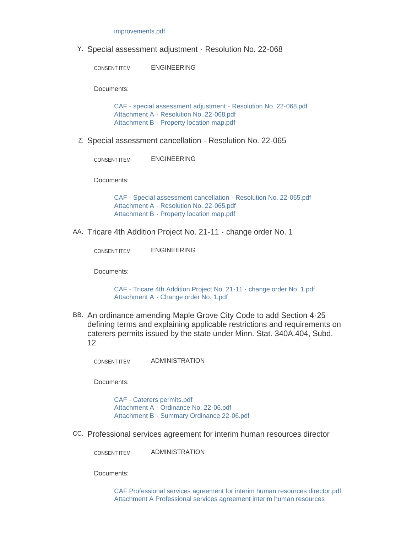#### improvements.pdf

Y. Special assessment adjustment - Resolution No. 22-068

ENGINEERING CONSENT ITEM

Documents:

[CAF - special assessment adjustment - Resolution No. 22-068.pdf](https://www.maplegrovemn.gov/AgendaCenter/ViewFile/Item/1527?fileID=5669) [Attachment A - Resolution No. 22-068.pdf](https://www.maplegrovemn.gov/AgendaCenter/ViewFile/Item/1527?fileID=5670) [Attachment B - Property location map.pdf](https://www.maplegrovemn.gov/AgendaCenter/ViewFile/Item/1527?fileID=5671)

Z Special assessment cancellation - Resolution No. 22-065

ENGINEERING CONSENT ITEM

Documents:

[CAF - Special assessment cancellation - Resolution No. 22-065.pdf](https://www.maplegrovemn.gov/AgendaCenter/ViewFile/Item/1526?fileID=5666) [Attachment A - Resolution No. 22-065.pdf](https://www.maplegrovemn.gov/AgendaCenter/ViewFile/Item/1526?fileID=5667) [Attachment B - Property location map.pdf](https://www.maplegrovemn.gov/AgendaCenter/ViewFile/Item/1526?fileID=5668)

AA. Tricare 4th Addition Project No. 21-11 - change order No. 1

ENGINEERING CONSENT ITEM

Documents:

[CAF - Tricare 4th Addition Project No. 21-11 - change order No. 1.pdf](https://www.maplegrovemn.gov/AgendaCenter/ViewFile/Item/1525?fileID=5664) [Attachment A - Change order No. 1.pdf](https://www.maplegrovemn.gov/AgendaCenter/ViewFile/Item/1525?fileID=5665)

BB. An ordinance amending Maple Grove City Code to add Section 4-25 defining terms and explaining applicable restrictions and requirements on caterers permits issued by the state under Minn. Stat. 340A.404, Subd. 12

ADMINISTRATION CONSENT ITEM

Documents:

[CAF - Caterers permits.pdf](https://www.maplegrovemn.gov/AgendaCenter/ViewFile/Item/1466?fileID=5689) [Attachment A - Ordinance No. 22-06.pdf](https://www.maplegrovemn.gov/AgendaCenter/ViewFile/Item/1466?fileID=5513) [Attachment B - Summary Ordinance 22-06.pdf](https://www.maplegrovemn.gov/AgendaCenter/ViewFile/Item/1466?fileID=5514)

Professional services agreement for interim human resources director CC.

ADMINISTRATION CONSENT ITEM

Documents:

[CAF Professional services agreement for interim human resources director.pdf](https://www.maplegrovemn.gov/AgendaCenter/ViewFile/Item/1532?fileID=5717) [Attachment A Professional services agreement interim human resources](https://www.maplegrovemn.gov/AgendaCenter/ViewFile/Item/1532?fileID=5730)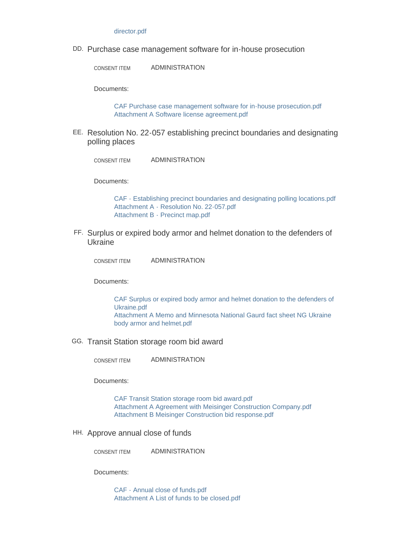#### director.pdf

Purchase case management software for in-house prosecution DD.

ADMINISTRATION CONSENT ITEM

Documents:

[CAF Purchase case management software for in-house prosecution.pdf](https://www.maplegrovemn.gov/AgendaCenter/ViewFile/Item/1520?fileID=5705) [Attachment A Software license agreement.pdf](https://www.maplegrovemn.gov/AgendaCenter/ViewFile/Item/1520?fileID=5600)

EE. Resolution No. 22-057 establishing precinct boundaries and designating polling places

ADMINISTRATION CONSENT ITEM

Documents:

[CAF - Establishing precinct boundaries and designating polling locations.pdf](https://www.maplegrovemn.gov/AgendaCenter/ViewFile/Item/1465?fileID=5510) [Attachment A - Resolution No. 22-057.pdf](https://www.maplegrovemn.gov/AgendaCenter/ViewFile/Item/1465?fileID=5511) [Attachment B - Precinct map.pdf](https://www.maplegrovemn.gov/AgendaCenter/ViewFile/Item/1465?fileID=5512)

FF. Surplus or expired body armor and helmet donation to the defenders of Ukraine

ADMINISTRATION CONSENT ITEM

Documents:

[CAF Surplus or expired body armor and helmet donation to the defenders of](https://www.maplegrovemn.gov/AgendaCenter/ViewFile/Item/1534?fileID=5703)  Ukraine.pdf [Attachment A Memo and Minnesota National Gaurd fact sheet NG Ukraine](https://www.maplegrovemn.gov/AgendaCenter/ViewFile/Item/1534?fileID=5709)  body armor and helmet.pdf

GG. Transit Station storage room bid award

ADMINISTRATION CONSENT ITEM

Documents:

[CAF Transit Station storage room bid award.pdf](https://www.maplegrovemn.gov/AgendaCenter/ViewFile/Item/1517?fileID=5587) [Attachment A Agreement with Meisinger Construction Company.pdf](https://www.maplegrovemn.gov/AgendaCenter/ViewFile/Item/1517?fileID=5588) [Attachment B Meisinger Construction bid response.pdf](https://www.maplegrovemn.gov/AgendaCenter/ViewFile/Item/1517?fileID=5589)

HH. Approve annual close of funds

ADMINISTRATION CONSENT ITEM

Documents:

[CAF - Annual close of funds.pdf](https://www.maplegrovemn.gov/AgendaCenter/ViewFile/Item/1462?fileID=5501) [Attachment A List of funds to be closed.pdf](https://www.maplegrovemn.gov/AgendaCenter/ViewFile/Item/1462?fileID=5500)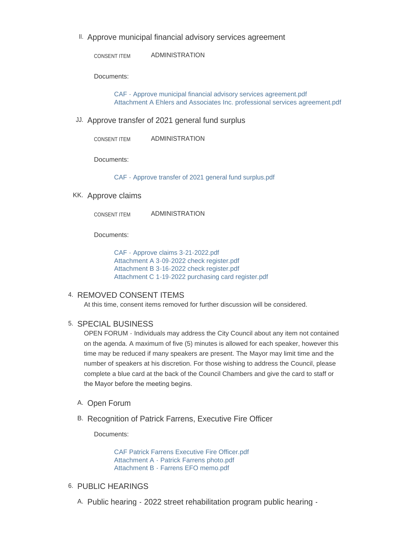II. Approve municipal financial advisory services agreement

ADMINISTRATION CONSENT ITEM

Documents:

[CAF - Approve municipal financial advisory services agreement.pdf](https://www.maplegrovemn.gov/AgendaCenter/ViewFile/Item/1438?fileID=5459) [Attachment A Ehlers and Associates Inc. professional services agreement.pdf](https://www.maplegrovemn.gov/AgendaCenter/ViewFile/Item/1438?fileID=5460)

JJ. Approve transfer of 2021 general fund surplus

ADMINISTRATION CONSENT ITEM

Documents:

[CAF - Approve transfer of 2021 general fund surplus.pdf](https://www.maplegrovemn.gov/AgendaCenter/ViewFile/Item/1440?fileID=5463)

KK. Approve claims

ADMINISTRATION CONSENT ITEM

Documents:

[CAF - Approve claims 3-21-2022.pdf](https://www.maplegrovemn.gov/AgendaCenter/ViewFile/Item/1531?fileID=5693) [Attachment A 3-09-2022 check register.pdf](https://www.maplegrovemn.gov/AgendaCenter/ViewFile/Item/1531?fileID=5696) [Attachment B 3-16-2022 check register.pdf](https://www.maplegrovemn.gov/AgendaCenter/ViewFile/Item/1531?fileID=5695) [Attachment C 1-19-2022 purchasing card register.pdf](https://www.maplegrovemn.gov/AgendaCenter/ViewFile/Item/1531?fileID=5694)

## 4. REMOVED CONSENT ITEMS

At this time, consent items removed for further discussion will be considered.

### 5. SPECIAL BUSINESS

OPEN FORUM - Individuals may address the City Council about any item not contained on the agenda. A maximum of five (5) minutes is allowed for each speaker, however this time may be reduced if many speakers are present. The Mayor may limit time and the number of speakers at his discretion. For those wishing to address the Council, please complete a blue card at the back of the Council Chambers and give the card to staff or the Mayor before the meeting begins.

- A. Open Forum
- B. Recognition of Patrick Farrens, Executive Fire Officer

Documents:

[CAF Patrick Farrens Executive Fire Officer.pdf](https://www.maplegrovemn.gov/AgendaCenter/ViewFile/Item/1475?fileID=5530) [Attachment A - Patrick Farrens photo.pdf](https://www.maplegrovemn.gov/AgendaCenter/ViewFile/Item/1475?fileID=5531) [Attachment B - Farrens EFO memo.pdf](https://www.maplegrovemn.gov/AgendaCenter/ViewFile/Item/1475?fileID=5532)

- 6. PUBLIC HEARINGS
	- A. Public hearing 2022 street rehabilitation program public hearing -